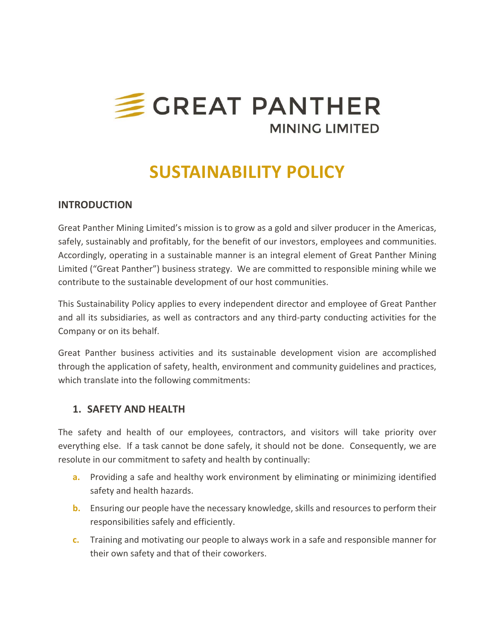

# **SUSTAINABILITY POLICY**

## **INTRODUCTION**

Great Panther Mining Limited's mission is to grow as a gold and silver producer in the Americas, safely, sustainably and profitably, for the benefit of our investors, employees and communities. Accordingly, operating in a sustainable manner is an integral element of Great Panther Mining Limited ("Great Panther") business strategy. We are committed to responsible mining while we contribute to the sustainable development of our host communities.

This Sustainability Policy applies to every independent director and employee of Great Panther and all its subsidiaries, as well as contractors and any third‐party conducting activities for the Company or on its behalf.

Great Panther business activities and its sustainable development vision are accomplished through the application of safety, health, environment and community guidelines and practices, which translate into the following commitments:

## **1. SAFETY AND HEALTH**

The safety and health of our employees, contractors, and visitors will take priority over everything else. If a task cannot be done safely, it should not be done. Consequently, we are resolute in our commitment to safety and health by continually:

- **a.** Providing a safe and healthy work environment by eliminating or minimizing identified safety and health hazards.
- **b.**  Ensuring our people have the necessary knowledge, skills and resources to perform their responsibilities safely and efficiently.
- **c.**  Training and motivating our people to always work in a safe and responsible manner for their own safety and that of their coworkers.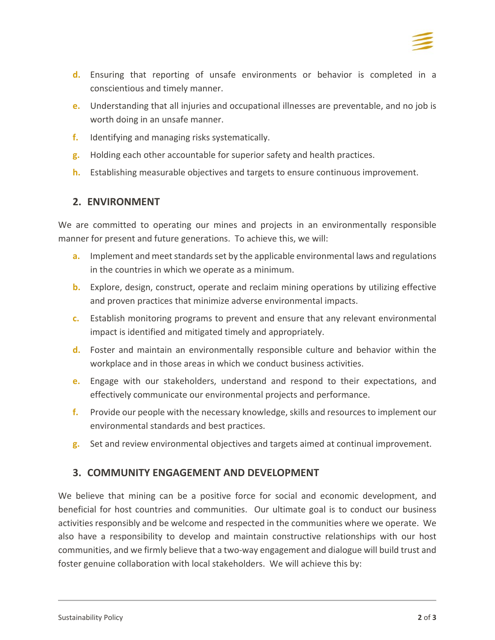

- **d.**  Ensuring that reporting of unsafe environments or behavior is completed in a conscientious and timely manner.
- **e.**  Understanding that all injuries and occupational illnesses are preventable, and no job is worth doing in an unsafe manner.
- **f.**  Identifying and managing risks systematically.
- **g.**  Holding each other accountable for superior safety and health practices.
- **h.**  Establishing measurable objectives and targets to ensure continuous improvement.

### **2. ENVIRONMENT**

We are committed to operating our mines and projects in an environmentally responsible manner for present and future generations. To achieve this, we will:

- **a.**  Implement and meet standards set by the applicable environmental laws and regulations in the countries in which we operate as a minimum.
- **b.**  Explore, design, construct, operate and reclaim mining operations by utilizing effective and proven practices that minimize adverse environmental impacts.
- **c.**  Establish monitoring programs to prevent and ensure that any relevant environmental impact is identified and mitigated timely and appropriately.
- **d.**  Foster and maintain an environmentally responsible culture and behavior within the workplace and in those areas in which we conduct business activities.
- **e.** Engage with our stakeholders, understand and respond to their expectations, and effectively communicate our environmental projects and performance.
- **f.**  Provide our people with the necessary knowledge, skills and resources to implement our environmental standards and best practices.
- **g.**  Set and review environmental objectives and targets aimed at continual improvement.

## **3. COMMUNITY ENGAGEMENT AND DEVELOPMENT**

We believe that mining can be a positive force for social and economic development, and beneficial for host countries and communities. Our ultimate goal is to conduct our business activities responsibly and be welcome and respected in the communities where we operate. We also have a responsibility to develop and maintain constructive relationships with our host communities, and we firmly believe that a two‐way engagement and dialogue will build trust and foster genuine collaboration with local stakeholders. We will achieve this by: